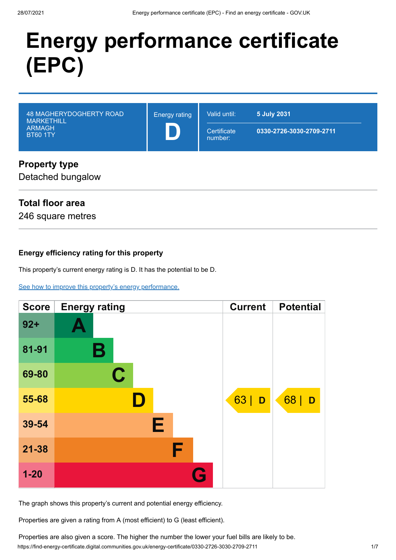# **Energy performance certificate (EPC)**

| <b>48 MAGHERYDOGHERTY ROAD</b><br><b>MARKETHILL</b><br><b>ARMAGH</b><br><b>BT60 1TY</b> | <b>Energy rating</b> | Valid until:<br>Certificate<br>number: | 5 July 2031<br>0330-2726-3030-2709-2711 |
|-----------------------------------------------------------------------------------------|----------------------|----------------------------------------|-----------------------------------------|
| Dronorty typo                                                                           |                      |                                        |                                         |

## **Property type**

Detached bungalow

## **Total floor area**

246 square metres

## **Energy efficiency rating for this property**

This property's current energy rating is D. It has the potential to be D.

[See how to improve this property's energy performance.](#page-3-0)

| <b>Score</b> | <b>Energy rating</b> | <b>Current</b> | <b>Potential</b> |
|--------------|----------------------|----------------|------------------|
| $92 +$       |                      |                |                  |
| 81-91        | Β                    |                |                  |
| 69-80        | $\mathbf C$          |                |                  |
| 55-68        | D                    | 63<br>D        | 68<br>D          |
| 39-54        | Е                    |                |                  |
| $21 - 38$    | F                    |                |                  |
| $1 - 20$     | G                    |                |                  |

The graph shows this property's current and potential energy efficiency.

Properties are given a rating from A (most efficient) to G (least efficient).

https://find-energy-certificate.digital.communities.gov.uk/energy-certificate/0330-2726-3030-2709-2711 1/7 Properties are also given a score. The higher the number the lower your fuel bills are likely to be.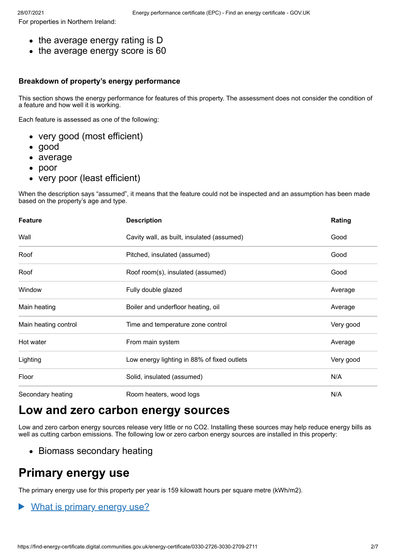For properties in Northern Ireland:

- the average energy rating is D
- the average energy score is 60

#### **Breakdown of property's energy performance**

This section shows the energy performance for features of this property. The assessment does not consider the condition of a feature and how well it is working.

Each feature is assessed as one of the following:

- very good (most efficient)
- good
- average
- poor
- very poor (least efficient)

When the description says "assumed", it means that the feature could not be inspected and an assumption has been made based on the property's age and type.

| <b>Feature</b>       | <b>Description</b>                          | Rating    |
|----------------------|---------------------------------------------|-----------|
| Wall                 | Cavity wall, as built, insulated (assumed)  | Good      |
| Roof                 | Pitched, insulated (assumed)                | Good      |
| Roof                 | Roof room(s), insulated (assumed)           | Good      |
| Window               | Fully double glazed                         | Average   |
| Main heating         | Boiler and underfloor heating, oil          | Average   |
| Main heating control | Time and temperature zone control           | Very good |
| Hot water            | From main system                            | Average   |
| Lighting             | Low energy lighting in 88% of fixed outlets | Very good |
| Floor                | Solid, insulated (assumed)                  | N/A       |
| Secondary heating    | Room heaters, wood logs                     | N/A       |

# **Low and zero carbon energy sources**

Low and zero carbon energy sources release very little or no CO2. Installing these sources may help reduce energy bills as well as cutting carbon emissions. The following low or zero carbon energy sources are installed in this property:

• Biomass secondary heating

## **Primary energy use**

The primary energy use for this property per year is 159 kilowatt hours per square metre (kWh/m2).

#### What is primary energy use?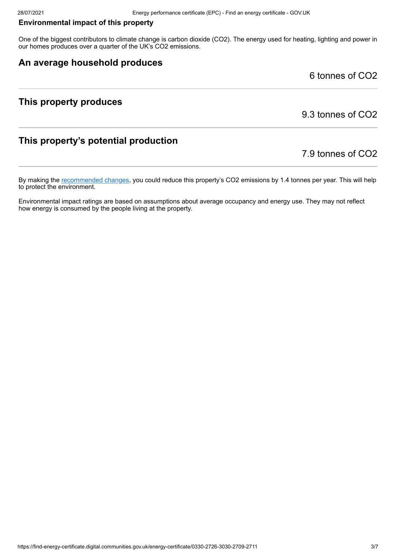#### **Environmental impact of this property**

One of the biggest contributors to climate change is carbon dioxide (CO2). The energy used for heating, lighting and power in our homes produces over a quarter of the UK's CO2 emissions.

## **An average household produces**

6 tonnes of CO2

## **This property produces**

9.3 tonnes of CO2

## **This property's potential production**

7.9 tonnes of CO2

By making the [recommended changes](#page-3-0), you could reduce this property's CO2 emissions by 1.4 tonnes per year. This will help to protect the environment.

Environmental impact ratings are based on assumptions about average occupancy and energy use. They may not reflect how energy is consumed by the people living at the property.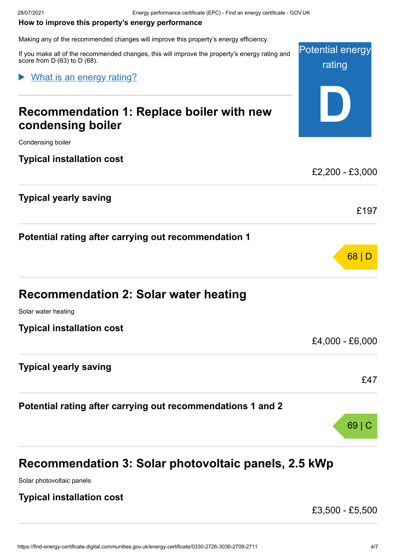#### <span id="page-3-0"></span>**How to improve this property's energy performance**

Making any of the recommended changes will improve this property's energy efficiency.

Potential energy If you make all of the recommended changes, this will improve the property's energy rating and score from D (63) to D (68).

What is an energy rating?

# **Recommendation 1: Replace boiler with new condensing boiler**

Condensing boiler

**Typical installation cost**

**Typical yearly saving**

**Potential rating after carrying out recommendation 1**

| <b>Recommendation 2: Solar water heating</b> |
|----------------------------------------------|
|                                              |

Solar water heating

**Typical installation cost**

**Typical yearly saving**

**Potential rating after carrying out recommendations 1 and 2**

# **Recommendation 3: Solar photovoltaic panels, 2.5 kWp**

Solar photovoltaic panels

## **Typical installation cost**

£3,500 - £5,500

rating

**D**

£2,200 - £3,000

£197

68 | D

£4,000 - £6,000

£47

69 | C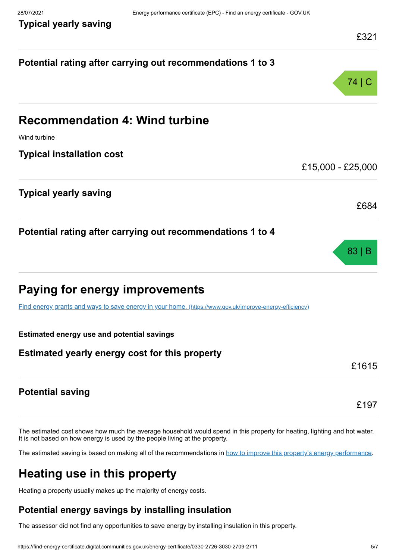**Typical yearly saving**

| Potential rating after carrying out recommendations 1 to 3                                              |                   |
|---------------------------------------------------------------------------------------------------------|-------------------|
|                                                                                                         | 74   C            |
| <b>Recommendation 4: Wind turbine</b>                                                                   |                   |
| Wind turbine                                                                                            |                   |
| <b>Typical installation cost</b>                                                                        | £15,000 - £25,000 |
| <b>Typical yearly saving</b>                                                                            |                   |
|                                                                                                         | £684              |
| Potential rating after carrying out recommendations 1 to 4                                              |                   |
|                                                                                                         | 83                |
| <b>Paying for energy improvements</b>                                                                   |                   |
| Find energy grants and ways to save energy in your home. (https://www.gov.uk/improve-energy-efficiency) |                   |
| <b>Estimated energy use and potential savings</b>                                                       |                   |
| Estimated yearly energy cost for this property                                                          |                   |
|                                                                                                         | £1615             |
| <b>Potential saving</b>                                                                                 |                   |
|                                                                                                         | £197              |

The estimated cost shows how much the average household would spend in this property for heating, lighting and hot water. It is not based on how energy is used by the people living at the property.

The estimated saving is based on making all of the recommendations in [how to improve this property's energy performance.](#page-3-0)

# **Heating use in this property**

Heating a property usually makes up the majority of energy costs.

## **Potential energy savings by installing insulation**

The assessor did not find any opportunities to save energy by installing insulation in this property.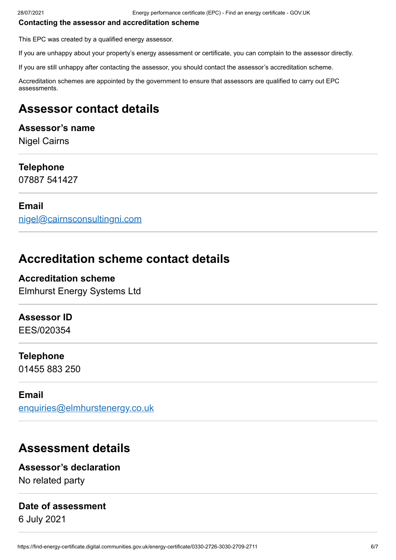#### **Contacting the assessor and accreditation scheme**

This EPC was created by a qualified energy assessor.

If you are unhappy about your property's energy assessment or certificate, you can complain to the assessor directly.

If you are still unhappy after contacting the assessor, you should contact the assessor's accreditation scheme.

Accreditation schemes are appointed by the government to ensure that assessors are qualified to carry out EPC assessments.

## **Assessor contact details**

## **Assessor's name**

Nigel Cairns

#### **Telephone**

07887 541427

#### **Email**

[nigel@cairnsconsultingni.com](mailto:nigel@cairnsconsultingni.com)

## **Accreditation scheme contact details**

**Accreditation scheme** Elmhurst Energy Systems Ltd

#### **Assessor ID**

EES/020354

#### **Telephone**

01455 883 250

#### **Email**

[enquiries@elmhurstenergy.co.uk](mailto:enquiries@elmhurstenergy.co.uk)

## **Assessment details**

#### **Assessor's declaration**

No related party

## **Date of assessment**

6 July 2021